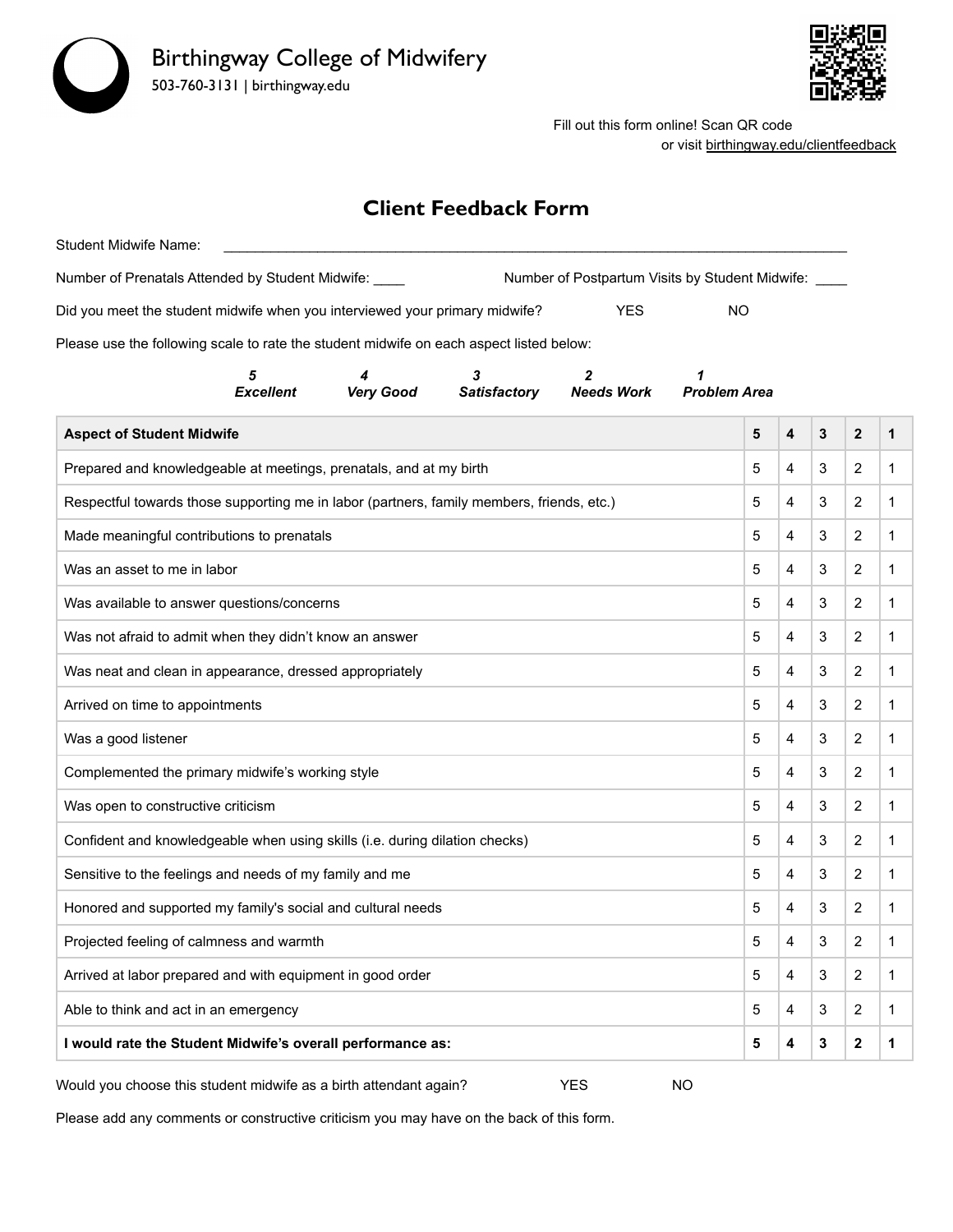

Fill out this form online! Scan QR code or visit birthingway.edu/clientfeedback

## **Client Feedback Form**

| Student Midwife Name:                                                       |                                                      |    |  |
|-----------------------------------------------------------------------------|------------------------------------------------------|----|--|
| Number of Prenatals Attended by Student Midwife:                            | Number of Postpartum Visits by Student Midwife: ____ |    |  |
| Did you meet the student midwife when you interviewed your primary midwife? | YES                                                  | NO |  |
|                                                                             |                                                      |    |  |

Please use the following scale to rate the student midwife on each aspect listed below:

| <b>Excellent</b> | <b>Very Good</b> | <b>Satisfactory</b> | <b>Needs Work</b> | <b>Problem Area</b> |
|------------------|------------------|---------------------|-------------------|---------------------|

| <b>Aspect of Student Midwife</b>                                                          | 5 | 4 | 3 | $\mathbf{2}$   | 1            |
|-------------------------------------------------------------------------------------------|---|---|---|----------------|--------------|
| Prepared and knowledgeable at meetings, prenatals, and at my birth                        | 5 | 4 | 3 | 2              | $\mathbf 1$  |
| Respectful towards those supporting me in labor (partners, family members, friends, etc.) | 5 | 4 | 3 | 2              | $\mathbf 1$  |
| Made meaningful contributions to prenatals                                                | 5 | 4 | 3 | 2              | 1            |
| Was an asset to me in labor                                                               | 5 | 4 | 3 | 2              | $\mathbf 1$  |
| Was available to answer questions/concerns                                                | 5 | 4 | 3 | 2              | 1            |
| Was not afraid to admit when they didn't know an answer                                   | 5 | 4 | 3 | 2              | $\mathbf{1}$ |
| Was neat and clean in appearance, dressed appropriately                                   | 5 | 4 | 3 | 2              | $\mathbf 1$  |
| Arrived on time to appointments                                                           | 5 | 4 | 3 | 2              | $\mathbf{1}$ |
| Was a good listener                                                                       | 5 | 4 | 3 | $\overline{c}$ | $\mathbf{1}$ |
| Complemented the primary midwife's working style                                          | 5 | 4 | 3 | $\overline{2}$ | 1            |
| Was open to constructive criticism                                                        | 5 | 4 | 3 | 2              | $\mathbf{1}$ |
| Confident and knowledgeable when using skills (i.e. during dilation checks)               | 5 | 4 | 3 | 2              | 1            |
| Sensitive to the feelings and needs of my family and me                                   | 5 | 4 | 3 | 2              | $\mathbf{1}$ |
| Honored and supported my family's social and cultural needs                               | 5 | 4 | 3 | 2              | 1            |
| Projected feeling of calmness and warmth                                                  | 5 | 4 | 3 | 2              | 1            |
| Arrived at labor prepared and with equipment in good order                                | 5 | 4 | 3 | 2              | 1            |
| Able to think and act in an emergency                                                     | 5 | 4 | 3 | $\overline{c}$ | 1            |
| I would rate the Student Midwife's overall performance as:                                | 5 | 4 | 3 | $\mathbf{2}$   | 1            |

Would you choose this student midwife as a birth attendant again? YES YES

Please add any comments or constructive criticism you may have on the back of this form.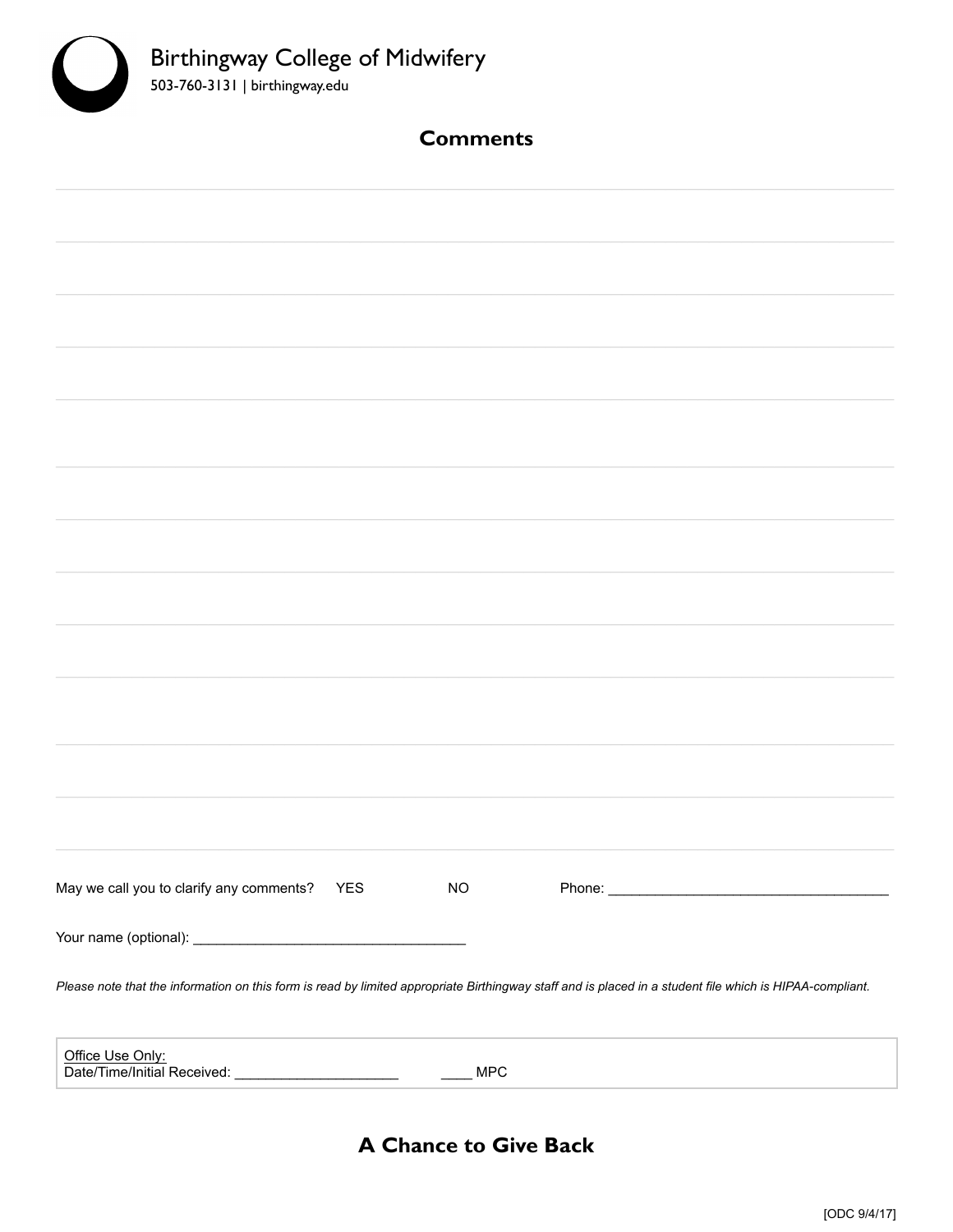

| <b>Comments</b>                                 |            |           |                                                                                                                                                          |
|-------------------------------------------------|------------|-----------|----------------------------------------------------------------------------------------------------------------------------------------------------------|
|                                                 |            |           |                                                                                                                                                          |
|                                                 |            |           |                                                                                                                                                          |
|                                                 |            |           |                                                                                                                                                          |
|                                                 |            |           |                                                                                                                                                          |
|                                                 |            |           |                                                                                                                                                          |
|                                                 |            |           |                                                                                                                                                          |
|                                                 |            |           |                                                                                                                                                          |
|                                                 |            |           |                                                                                                                                                          |
|                                                 |            |           |                                                                                                                                                          |
|                                                 |            |           |                                                                                                                                                          |
|                                                 |            |           |                                                                                                                                                          |
|                                                 |            |           |                                                                                                                                                          |
| May we call you to clarify any comments?        | <b>YES</b> | <b>NO</b> |                                                                                                                                                          |
|                                                 |            |           |                                                                                                                                                          |
|                                                 |            |           | Please note that the information on this form is read by limited appropriate Birthingway staff and is placed in a student file which is HIPAA-compliant. |
| Office Use Only:<br>Date/Time/Initial Received: |            | MPC       |                                                                                                                                                          |

## **A Chance to Give Back**